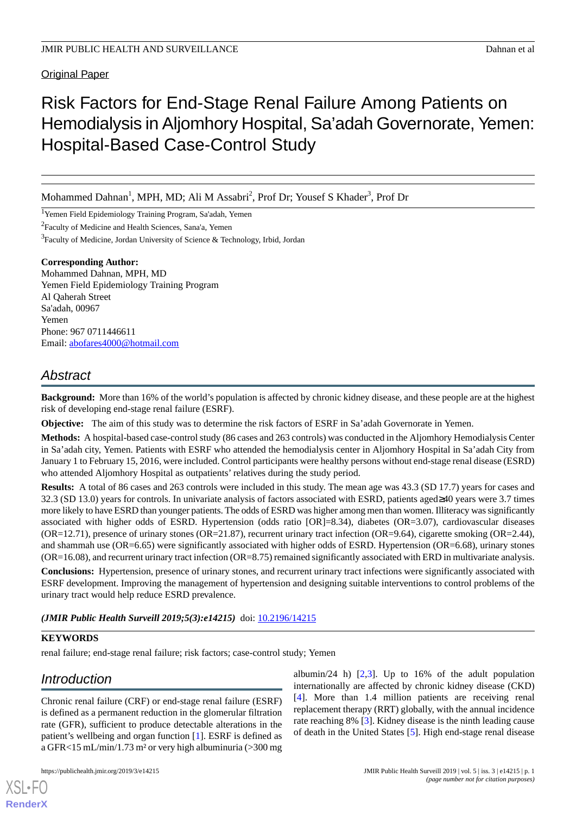Original Paper

# Risk Factors for End-Stage Renal Failure Among Patients on Hemodialysis in Aljomhory Hospital, Sa'adah Governorate, Yemen: Hospital-Based Case-Control Study

Mohammed Dahnan<sup>1</sup>, MPH, MD; Ali M Assabri<sup>2</sup>, Prof Dr; Yousef S Khader<sup>3</sup>, Prof Dr

<sup>1</sup>Yemen Field Epidemiology Training Program, Sa'adah, Yemen

<sup>2</sup> Faculty of Medicine and Health Sciences, Sana'a, Yemen

<sup>3</sup>Faculty of Medicine, Jordan University of Science & Technology, Irbid, Jordan

#### **Corresponding Author:**

Mohammed Dahnan, MPH, MD Yemen Field Epidemiology Training Program Al Qaherah Street Sa'adah, 00967 Yemen Phone: 967 0711446611 Email: [abofares4000@hotmail.com](mailto:abofares4000@hotmail.com)

# *Abstract*

**Background:** More than 16% of the world's population is affected by chronic kidney disease, and these people are at the highest risk of developing end-stage renal failure (ESRF).

**Objective:** The aim of this study was to determine the risk factors of ESRF in Sa'adah Governorate in Yemen.

**Methods:** A hospital-based case-control study (86 cases and 263 controls) was conducted in the Aljomhory Hemodialysis Center in Sa'adah city, Yemen. Patients with ESRF who attended the hemodialysis center in Aljomhory Hospital in Sa'adah City from January 1 to February 15, 2016, were included. Control participants were healthy persons without end-stage renal disease (ESRD) who attended Aljomhory Hospital as outpatients' relatives during the study period.

**Results:** A total of 86 cases and 263 controls were included in this study. The mean age was 43.3 (SD 17.7) years for cases and 32.3 (SD 13.0) years for controls. In univariate analysis of factors associated with ESRD, patients aged≥40 years were 3.7 times more likely to have ESRD than younger patients. The odds of ESRD was higher among men than women. Illiteracy was significantly associated with higher odds of ESRD. Hypertension (odds ratio [OR]=8.34), diabetes (OR=3.07), cardiovascular diseases (OR=12.71), presence of urinary stones (OR=21.87), recurrent urinary tract infection (OR=9.64), cigarette smoking (OR=2.44), and shammah use (OR=6.65) were significantly associated with higher odds of ESRD. Hypertension (OR=6.68), urinary stones  $(OR=16.08)$ , and recurrent urinary tract infection  $(OR=8.75)$  remained significantly associated with ERD in multivariate analysis.

**Conclusions:** Hypertension, presence of urinary stones, and recurrent urinary tract infections were significantly associated with ESRF development. Improving the management of hypertension and designing suitable interventions to control problems of the urinary tract would help reduce ESRD prevalence.

*(JMIR Public Health Surveill 2019;5(3):e14215)* doi: [10.2196/14215](http://dx.doi.org/10.2196/14215)

## **KEYWORDS**

renal failure; end-stage renal failure; risk factors; case-control study; Yemen

# *Introduction*

[XSL](http://www.w3.org/Style/XSL)•FO **[RenderX](http://www.renderx.com/)**

Chronic renal failure (CRF) or end-stage renal failure (ESRF) is defined as a permanent reduction in the glomerular filtration rate (GFR), sufficient to produce detectable alterations in the patient's wellbeing and organ function [\[1](#page-3-0)]. ESRF is defined as a GFR<15 mL/min/1.73 m² or very high albuminuria (>300 mg

albumin/24 h)  $[2,3]$  $[2,3]$  $[2,3]$ . Up to 16% of the adult population internationally are affected by chronic kidney disease (CKD) [[4\]](#page-4-2). More than 1.4 million patients are receiving renal replacement therapy (RRT) globally, with the annual incidence rate reaching 8% [[3\]](#page-4-1). Kidney disease is the ninth leading cause of death in the United States [\[5](#page-4-3)]. High end-stage renal disease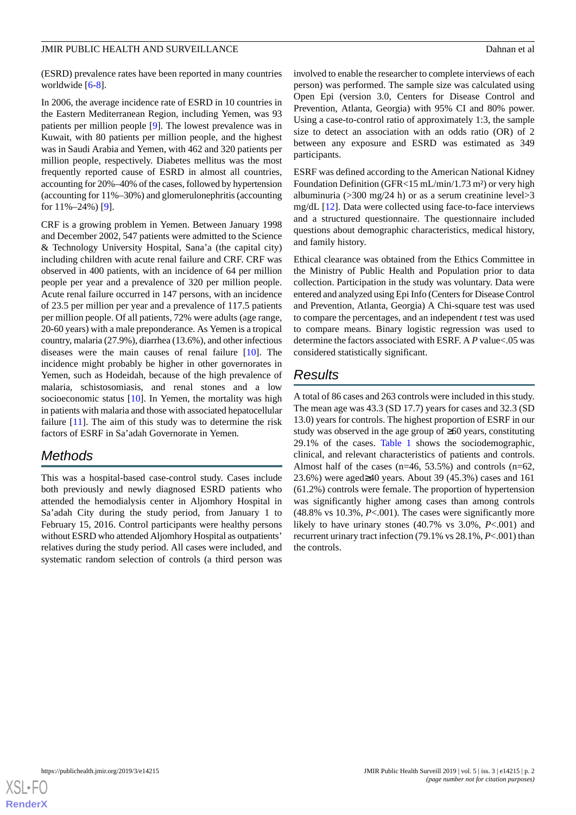(ESRD) prevalence rates have been reported in many countries worldwide [\[6](#page-4-4)[-8](#page-4-5)].

In 2006, the average incidence rate of ESRD in 10 countries in the Eastern Mediterranean Region, including Yemen, was 93 patients per million people [[9\]](#page-4-6). The lowest prevalence was in Kuwait, with 80 patients per million people, and the highest was in Saudi Arabia and Yemen, with 462 and 320 patients per million people, respectively. Diabetes mellitus was the most frequently reported cause of ESRD in almost all countries, accounting for 20%–40% of the cases, followed by hypertension (accounting for 11%–30%) and glomerulonephritis (accounting for 11%–24%) [[9](#page-4-6)].

CRF is a growing problem in Yemen. Between January 1998 and December 2002, 547 patients were admitted to the Science & Technology University Hospital, Sana'a (the capital city) including children with acute renal failure and CRF. CRF was observed in 400 patients, with an incidence of 64 per million people per year and a prevalence of 320 per million people. Acute renal failure occurred in 147 persons, with an incidence of 23.5 per million per year and a prevalence of 117.5 patients per million people. Of all patients, 72% were adults (age range, 20-60 years) with a male preponderance. As Yemen is a tropical country, malaria (27.9%), diarrhea (13.6%), and other infectious diseases were the main causes of renal failure [[10\]](#page-4-7). The incidence might probably be higher in other governorates in Yemen, such as Hodeidah, because of the high prevalence of malaria, schistosomiasis, and renal stones and a low socioeconomic status [\[10](#page-4-7)]. In Yemen, the mortality was high in patients with malaria and those with associated hepatocellular failure  $[11]$  $[11]$ . The aim of this study was to determine the risk factors of ESRF in Sa'adah Governorate in Yemen.

## *Methods*

This was a hospital-based case-control study. Cases include both previously and newly diagnosed ESRD patients who attended the hemodialysis center in Aljomhory Hospital in Sa'adah City during the study period, from January 1 to February 15, 2016. Control participants were healthy persons without ESRD who attended Aljomhory Hospital as outpatients' relatives during the study period. All cases were included, and systematic random selection of controls (a third person was

involved to enable the researcher to complete interviews of each person) was performed. The sample size was calculated using Open Epi (version 3.0, Centers for Disease Control and Prevention, Atlanta, Georgia) with 95% CI and 80% power. Using a case-to-control ratio of approximately 1:3, the sample size to detect an association with an odds ratio (OR) of 2 between any exposure and ESRD was estimated as 349 participants.

ESRF was defined according to the American National Kidney Foundation Definition (GFR<15 mL/min/1.73 m²) or very high albuminuria ( $>$ 300 mg/24 h) or as a serum creatinine level $>$ 3 mg/dL [\[12](#page-4-9)]. Data were collected using face-to-face interviews and a structured questionnaire. The questionnaire included questions about demographic characteristics, medical history, and family history.

Ethical clearance was obtained from the Ethics Committee in the Ministry of Public Health and Population prior to data collection. Participation in the study was voluntary. Data were entered and analyzed using Epi Info (Centers for Disease Control and Prevention, Atlanta, Georgia) A Chi-square test was used to compare the percentages, and an independent *t* test was used to compare means. Binary logistic regression was used to determine the factors associated with ESRF. A *P* value<.05 was considered statistically significant.

## *Results*

A total of 86 cases and 263 controls were included in this study. The mean age was 43.3 (SD 17.7) years for cases and 32.3 (SD 13.0) years for controls. The highest proportion of ESRF in our study was observed in the age group of ≥60 years, constituting 29.1% of the cases. [Table 1](#page-2-0) shows the sociodemographic, clinical, and relevant characteristics of patients and controls. Almost half of the cases (n=46, 53.5%) and controls (n=62, 23.6%) were aged≥40 years. About 39 (45.3%) cases and 161 (61.2%) controls were female. The proportion of hypertension was significantly higher among cases than among controls (48.8% vs 10.3%, *P*<.001). The cases were significantly more likely to have urinary stones (40.7% vs 3.0%, *P*<.001) and recurrent urinary tract infection (79.1% vs 28.1%, *P*<.001) than the controls.

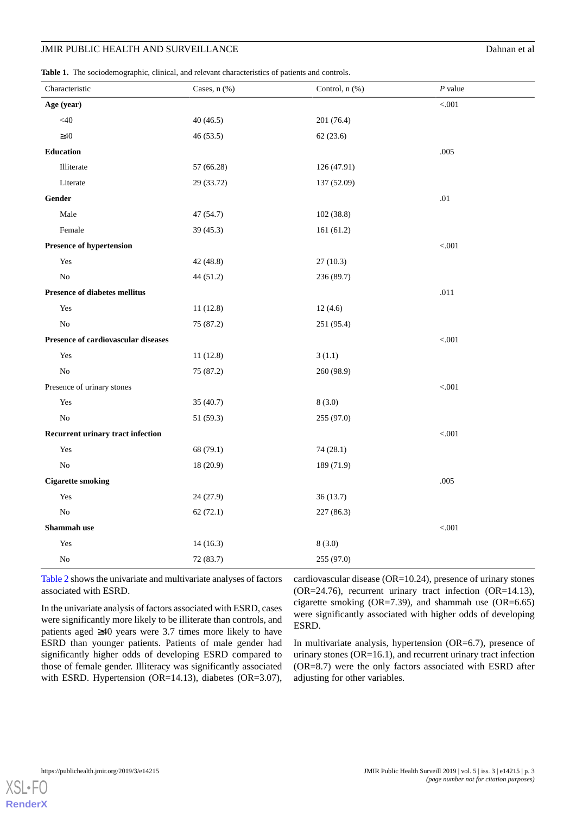<span id="page-2-0"></span>**Table 1.** The sociodemographic, clinical, and relevant characteristics of patients and controls.

| Characteristic                           | Cases, n (%) | Control, n (%) | $P$ value |
|------------------------------------------|--------------|----------------|-----------|
| Age (year)                               |              |                | < .001    |
| $<$ 40                                   | 40(46.5)     | 201 (76.4)     |           |
| $\geq 40$                                | 46(53.5)     | 62(23.6)       |           |
| <b>Education</b>                         |              |                | .005      |
| Illiterate                               | 57 (66.28)   | 126 (47.91)    |           |
| Literate                                 | 29 (33.72)   | 137 (52.09)    |           |
| Gender                                   |              |                | .01       |
| Male                                     | 47 (54.7)    | 102 (38.8)     |           |
| Female                                   | 39(45.3)     | 161(61.2)      |           |
| <b>Presence of hypertension</b>          |              |                | < .001    |
| Yes                                      | 42 (48.8)    | 27(10.3)       |           |
| $\rm No$                                 | 44 (51.2)    | 236 (89.7)     |           |
| <b>Presence of diabetes mellitus</b>     |              |                | $.011$    |
| Yes                                      | 11(12.8)     | 12(4.6)        |           |
| No                                       | 75 (87.2)    | 251 (95.4)     |           |
| Presence of cardiovascular diseases      |              |                | < .001    |
| Yes                                      | 11(12.8)     | 3(1.1)         |           |
| No                                       | 75 (87.2)    | 260 (98.9)     |           |
| Presence of urinary stones               |              |                | < .001    |
| Yes                                      | 35 (40.7)    | 8(3.0)         |           |
| N <sub>o</sub>                           | 51 (59.3)    | 255 (97.0)     |           |
| <b>Recurrent urinary tract infection</b> |              |                | < .001    |
| Yes                                      | 68 (79.1)    | 74 (28.1)      |           |
| No                                       | 18(20.9)     | 189 (71.9)     |           |
| <b>Cigarette smoking</b>                 |              |                | .005      |
| Yes                                      | 24(27.9)     | 36(13.7)       |           |
| ${\rm No}$                               | 62(72.1)     | 227 (86.3)     |           |
| Shammah use                              |              |                | < .001    |
| Yes                                      | 14(16.3)     | 8(3.0)         |           |
| N <sub>o</sub>                           | 72 (83.7)    | 255 (97.0)     |           |

[Table 2](#page-3-1) shows the univariate and multivariate analyses of factors associated with ESRD.

In the univariate analysis of factors associated with ESRD, cases were significantly more likely to be illiterate than controls, and patients aged ≥40 years were 3.7 times more likely to have ESRD than younger patients. Patients of male gender had significantly higher odds of developing ESRD compared to those of female gender. Illiteracy was significantly associated with ESRD. Hypertension (OR=14.13), diabetes (OR=3.07), cardiovascular disease (OR=10.24), presence of urinary stones (OR=24.76), recurrent urinary tract infection (OR=14.13), cigarette smoking  $(OR=7.39)$ , and shammah use  $(OR=6.65)$ were significantly associated with higher odds of developing ESRD.

In multivariate analysis, hypertension (OR=6.7), presence of urinary stones (OR=16.1), and recurrent urinary tract infection (OR=8.7) were the only factors associated with ESRD after adjusting for other variables.

 $XS$  • FO **[RenderX](http://www.renderx.com/)**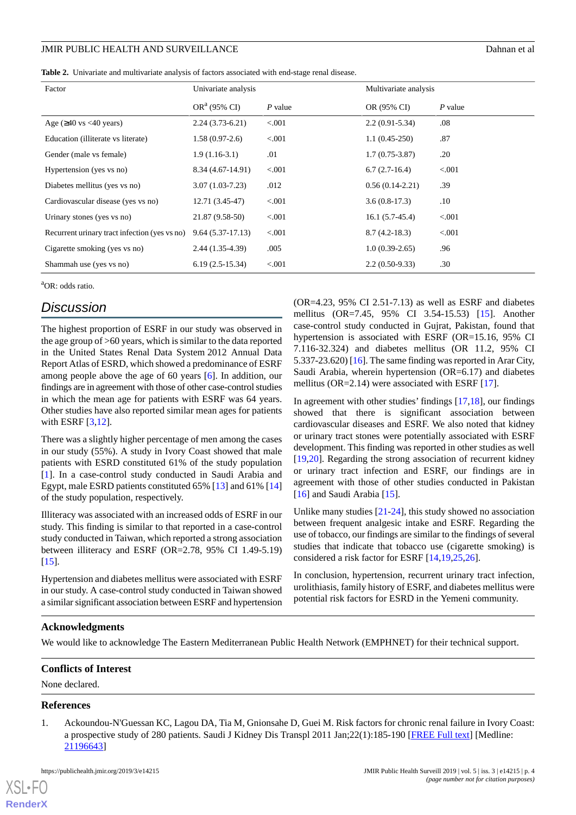<span id="page-3-1"></span>

|  | <b>Table 2.</b> Univariate and multivariate analysis of factors associated with end-stage renal disease. |  |  |  |  |  |  |
|--|----------------------------------------------------------------------------------------------------------|--|--|--|--|--|--|
|--|----------------------------------------------------------------------------------------------------------|--|--|--|--|--|--|

| Factor                                         | Univariate analysis |         | Multivariate analysis |         |
|------------------------------------------------|---------------------|---------|-----------------------|---------|
|                                                | $OR^a$ (95% CI)     | P value | OR (95% CI)           | P value |
| Age $(\geq 40 \text{ vs } < 40 \text{ years})$ | $2.24(3.73-6.21)$   | < .001  | $2.2(0.91-5.34)$      | .08     |
| Education (illiterate vs literate)             | $1.58(0.97-2.6)$    | < 0.001 | $1.1(0.45-250)$       | .87     |
| Gender (male vs female)                        | $1.9(1.16-3.1)$     | .01     | $1.7(0.75-3.87)$      | .20     |
| Hypertension (yes vs no)                       | 8.34 (4.67-14.91)   | < 0.001 | $6.7(2.7-16.4)$       | < 0.001 |
| Diabetes mellitus (yes vs no)                  | $3.07(1.03 - 7.23)$ | .012    | $0.56(0.14-2.21)$     | .39     |
| Cardiovascular disease (yes vs no)             | $12.71(3.45-47)$    | < 0.001 | $3.6(0.8-17.3)$       | $.10\,$ |
| Urinary stones (yes vs no)                     | 21.87 (9.58-50)     | < 0.001 | $16.1(5.7-45.4)$      | < 0.001 |
| Recurrent urinary tract infection (yes vs no)  | $9.64(5.37-17.13)$  | < 0.001 | $8.7(4.2-18.3)$       | < 0.001 |
| Cigarette smoking (yes vs no)                  | $2.44(1.35-4.39)$   | .005    | $1.0(0.39-2.65)$      | .96     |
| Shammah use (yes vs no)                        | $6.19(2.5-15.34)$   | < 0.001 | $2.2(0.50-9.33)$      | .30     |

<sup>a</sup>OR: odds ratio.

## *Discussion*

The highest proportion of ESRF in our study was observed in the age group of >60 years, which is similar to the data reported in the United States Renal Data System 2012 Annual Data Report Atlas of ESRD, which showed a predominance of ESRF among people above the age of 60 years [\[6](#page-4-4)]. In addition, our findings are in agreement with those of other case-control studies in which the mean age for patients with ESRF was 64 years. Other studies have also reported similar mean ages for patients with ESRF [\[3,](#page-4-1)[12](#page-4-9)].

There was a slightly higher percentage of men among the cases in our study (55%). A study in Ivory Coast showed that male patients with ESRD constituted 61% of the study population [[1\]](#page-3-0). In a case-control study conducted in Saudi Arabia and Egypt, male ESRD patients constituted 65% [[13\]](#page-4-10) and 61% [\[14](#page-4-11)] of the study population, respectively.

Illiteracy was associated with an increased odds of ESRF in our study. This finding is similar to that reported in a case-control study conducted in Taiwan, which reported a strong association between illiteracy and ESRF (OR=2.78, 95% CI 1.49-5.19)  $[15]$  $[15]$ .

Hypertension and diabetes mellitus were associated with ESRF in our study. A case-control study conducted in Taiwan showed a similar significant association between ESRF and hypertension (OR=4.23, 95% CI 2.51-7.13) as well as ESRF and diabetes mellitus (OR=7.45, 95% CI 3.54-15.53) [\[15](#page-4-12)]. Another case-control study conducted in Gujrat, Pakistan, found that hypertension is associated with ESRF (OR=15.16, 95% CI 7.116-32.324) and diabetes mellitus (OR 11.2, 95% CI 5.337-23.620) [[16\]](#page-4-13). The same finding was reported in Arar City, Saudi Arabia, wherein hypertension (OR=6.17) and diabetes mellitus (OR=2.14) were associated with ESRF [\[17](#page-4-14)].

In agreement with other studies' findings [\[17](#page-4-14),[18\]](#page-4-15), our findings showed that there is significant association between cardiovascular diseases and ESRF. We also noted that kidney or urinary tract stones were potentially associated with ESRF development. This finding was reported in other studies as well [[19,](#page-4-16)[20\]](#page-4-17). Regarding the strong association of recurrent kidney or urinary tract infection and ESRF, our findings are in agreement with those of other studies conducted in Pakistan [[16\]](#page-4-13) and Saudi Arabia [\[15](#page-4-12)].

Unlike many studies [[21](#page-4-18)[-24](#page-4-19)], this study showed no association between frequent analgesic intake and ESRF. Regarding the use of tobacco, our findings are similar to the findings of several studies that indicate that tobacco use (cigarette smoking) is considered a risk factor for ESRF [[14,](#page-4-11)[19](#page-4-16)[,25](#page-4-20)[,26](#page-4-21)].

In conclusion, hypertension, recurrent urinary tract infection, urolithiasis, family history of ESRF, and diabetes mellitus were potential risk factors for ESRD in the Yemeni community.

#### **Acknowledgments**

<span id="page-3-0"></span>We would like to acknowledge The Eastern Mediterranean Public Health Network (EMPHNET) for their technical support.

#### **Conflicts of Interest**

None declared.

## **References**

 $XS$  • FC **[RenderX](http://www.renderx.com/)**

1. Ackoundou-N'Guessan KC, Lagou DA, Tia M, Gnionsahe D, Guei M. Risk factors for chronic renal failure in Ivory Coast: a prospective study of 280 patients. Saudi J Kidney Dis Transpl 2011 Jan;22(1):185-190 [\[FREE Full text\]](http://www.sjkdt.org/article.asp?issn=1319-2442;year=2011;volume=22;issue=1;spage=185;epage=190;aulast=Ackoundou%2DN%27Guessan) [Medline: [21196643](http://www.ncbi.nlm.nih.gov/entrez/query.fcgi?cmd=Retrieve&db=PubMed&list_uids=21196643&dopt=Abstract)]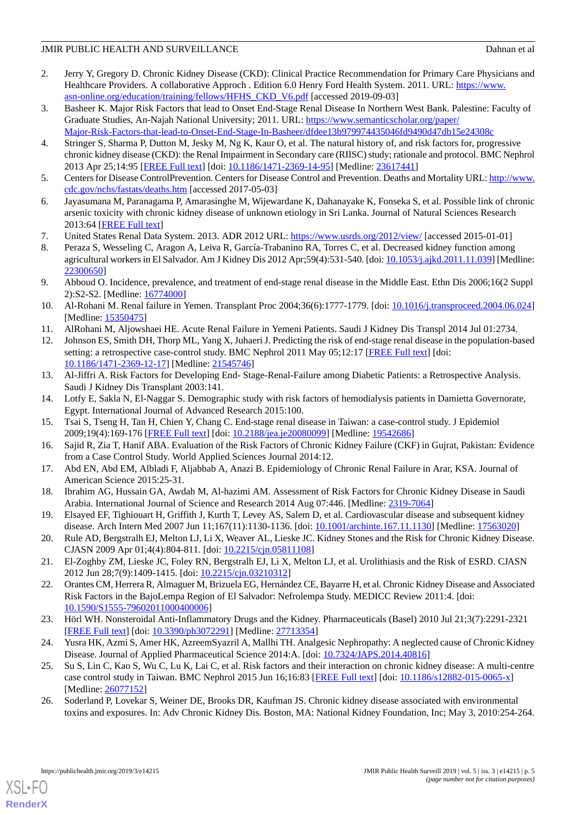- <span id="page-4-0"></span>2. Jerry Y, Gregory D. Chronic Kidney Disease (CKD): Clinical Practice Recommendation for Primary Care Physicians and Healthcare Providers. A collaborative Approch . Edition 6.0 Henry Ford Health System. 2011. URL: [https://www.](https://www.asn-online.org/education/training/fellows/HFHS_CKD_V6.pdf) [asn-online.org/education/training/fellows/HFHS\\_CKD\\_V6.pdf](https://www.asn-online.org/education/training/fellows/HFHS_CKD_V6.pdf) [accessed 2019-09-03]
- <span id="page-4-1"></span>3. Basheer K. Major Risk Factors that lead to Onset End-Stage Renal Disease In Northern West Bank. Palestine: Faculty of Graduate Studies, An-Najah National University; 2011. URL: [https://www.semanticscholar.org/paper/](https://www.semanticscholar.org/paper/Major-Risk-Factors-that-lead-to-Onset-End-Stage-In-Basheer/dfdee13b979974435046fd9490d47db15e24308c) [Major-Risk-Factors-that-lead-to-Onset-End-Stage-In-Basheer/dfdee13b979974435046fd9490d47db15e24308c](https://www.semanticscholar.org/paper/Major-Risk-Factors-that-lead-to-Onset-End-Stage-In-Basheer/dfdee13b979974435046fd9490d47db15e24308c)
- <span id="page-4-2"></span>4. Stringer S, Sharma P, Dutton M, Jesky M, Ng K, Kaur O, et al. The natural history of, and risk factors for, progressive chronic kidney disease (CKD): the Renal Impairment in Secondary care (RIISC) study; rationale and protocol. BMC Nephrol 2013 Apr 25;14:95 [\[FREE Full text\]](https://www.biomedcentral.com/1471-2369/14/95) [doi: [10.1186/1471-2369-14-95](http://dx.doi.org/10.1186/1471-2369-14-95)] [Medline: [23617441](http://www.ncbi.nlm.nih.gov/entrez/query.fcgi?cmd=Retrieve&db=PubMed&list_uids=23617441&dopt=Abstract)]
- <span id="page-4-4"></span><span id="page-4-3"></span>5. Centers for Disease ControlPrevention. Centers for Disease Control and Prevention. Deaths and Mortality URL: [http://www.](http://www.cdc.gov/nchs/fastats/deaths.htm) [cdc.gov/nchs/fastats/deaths.htm](http://www.cdc.gov/nchs/fastats/deaths.htm) [accessed 2017-05-03]
- 6. Jayasumana M, Paranagama P, Amarasinghe M, Wijewardane K, Dahanayake K, Fonseka S, et al. Possible link of chronic arsenic toxicity with chronic kidney disease of unknown etiology in Sri Lanka. Journal of Natural Sciences Research 2013:64 [\[FREE Full text\]](http://www.iiste.org/Journals/index.php)
- <span id="page-4-5"></span>7. United States Renal Data System. 2013. ADR 2012 URL: <https://www.usrds.org/2012/view/> [accessed 2015-01-01]
- <span id="page-4-6"></span>8. Peraza S, Wesseling C, Aragon A, Leiva R, García-Trabanino RA, Torres C, et al. Decreased kidney function among agricultural workers in El Salvador. Am J Kidney Dis 2012 Apr;59(4):531-540. [doi: [10.1053/j.ajkd.2011.11.039](http://dx.doi.org/10.1053/j.ajkd.2011.11.039)] [Medline: [22300650](http://www.ncbi.nlm.nih.gov/entrez/query.fcgi?cmd=Retrieve&db=PubMed&list_uids=22300650&dopt=Abstract)]
- <span id="page-4-7"></span>9. Abboud O. Incidence, prevalence, and treatment of end-stage renal disease in the Middle East. Ethn Dis 2006;16(2 Suppl 2):S2-S2. [Medline: [16774000](http://www.ncbi.nlm.nih.gov/entrez/query.fcgi?cmd=Retrieve&db=PubMed&list_uids=16774000&dopt=Abstract)]
- <span id="page-4-9"></span><span id="page-4-8"></span>10. Al-Rohani M. Renal failure in Yemen. Transplant Proc 2004;36(6):1777-1779. [doi: [10.1016/j.transproceed.2004.06.024\]](http://dx.doi.org/10.1016/j.transproceed.2004.06.024) [Medline: [15350475](http://www.ncbi.nlm.nih.gov/entrez/query.fcgi?cmd=Retrieve&db=PubMed&list_uids=15350475&dopt=Abstract)]
- 11. AlRohani M, Aljowshaei HE. Acute Renal Failure in Yemeni Patients. Saudi J Kidney Dis Transpl 2014 Jul 01:2734.
- <span id="page-4-10"></span>12. Johnson ES, Smith DH, Thorp ML, Yang X, Juhaeri J. Predicting the risk of end-stage renal disease in the population-based setting: a retrospective case-control study. BMC Nephrol 2011 May 05;12:17 [\[FREE Full text\]](https://www.biomedcentral.com/1471-2369/12/17) [doi: [10.1186/1471-2369-12-17\]](http://dx.doi.org/10.1186/1471-2369-12-17) [Medline: [21545746\]](http://www.ncbi.nlm.nih.gov/entrez/query.fcgi?cmd=Retrieve&db=PubMed&list_uids=21545746&dopt=Abstract)
- <span id="page-4-12"></span><span id="page-4-11"></span>13. Al-Jiffri A. Risk Factors for Developing End- Stage-Renal-Failure among Diabetic Patients: a Retrospective Analysis. Saudi J Kidney Dis Transplant 2003:141.
- <span id="page-4-13"></span>14. Lotfy E, Sakla N, El-Naggar S. Demographic study with risk factors of hemodialysis patients in Damietta Governorate, Egypt. International Journal of Advanced Research 2015:100.
- <span id="page-4-14"></span>15. Tsai S, Tseng H, Tan H, Chien Y, Chang C. End-stage renal disease in Taiwan: a case-control study. J Epidemiol 2009;19(4):169-176 [[FREE Full text](http://joi.jlc.jst.go.jp/JST.JSTAGE/jea/JE20080099?from=PubMed)] [doi: [10.2188/jea.je20080099](http://dx.doi.org/10.2188/jea.je20080099)] [Medline: [19542686\]](http://www.ncbi.nlm.nih.gov/entrez/query.fcgi?cmd=Retrieve&db=PubMed&list_uids=19542686&dopt=Abstract)
- <span id="page-4-15"></span>16. Sajid R, Zia T, Hanif ABA. Evaluation of the Risk Factors of Chronic Kidney Failure (CKF) in Gujrat, Pakistan: Evidence from a Case Control Study. World Applied Sciences Journal 2014:12.
- <span id="page-4-16"></span>17. Abd EN, Abd EM, Albladi F, Aljabbab A, Anazi B. Epidemiology of Chronic Renal Failure in Arar, KSA. Journal of American Science 2015:25-31.
- <span id="page-4-17"></span>18. Ibrahim AG, Hussain GA, Awdah M, Al-hazimi AM. Assessment of Risk Factors for Chronic Kidney Disease in Saudi Arabia. International Journal of Science and Research 2014 Aug 07:446. [Medline: [2319-7064](http://www.ncbi.nlm.nih.gov/entrez/query.fcgi?cmd=Retrieve&db=PubMed&list_uids=2319-7064&dopt=Abstract)]
- <span id="page-4-18"></span>19. Elsayed EF, Tighiouart H, Griffith J, Kurth T, Levey AS, Salem D, et al. Cardiovascular disease and subsequent kidney disease. Arch Intern Med 2007 Jun 11;167(11):1130-1136. [doi: [10.1001/archinte.167.11.1130\]](http://dx.doi.org/10.1001/archinte.167.11.1130) [Medline: [17563020\]](http://www.ncbi.nlm.nih.gov/entrez/query.fcgi?cmd=Retrieve&db=PubMed&list_uids=17563020&dopt=Abstract)
- 20. Rule AD, Bergstralh EJ, Melton LJ, Li X, Weaver AL, Lieske JC. Kidney Stones and the Risk for Chronic Kidney Disease. CJASN 2009 Apr 01;4(4):804-811. [doi: [10.2215/cjn.05811108\]](http://dx.doi.org/10.2215/cjn.05811108)
- 21. El-Zoghby ZM, Lieske JC, Foley RN, Bergstralh EJ, Li X, Melton LJ, et al. Urolithiasis and the Risk of ESRD. CJASN 2012 Jun 28;7(9):1409-1415. [doi: [10.2215/cjn.03210312](http://dx.doi.org/10.2215/cjn.03210312)]
- <span id="page-4-20"></span><span id="page-4-19"></span>22. Orantes CM, Herrera R, Almaguer M, Brizuela EG, Hernández CE, Bayarre H, et al. Chronic Kidney Disease and Associated Risk Factors in the BajoLempa Region of El Salvador: Nefrolempa Study. MEDICC Review 2011:4. [doi: [10.1590/S1555-79602011000400006\]](http://dx.doi.org/10.1590/S1555-79602011000400006)
- 23. Hörl WH. Nonsteroidal Anti-Inflammatory Drugs and the Kidney. Pharmaceuticals (Basel) 2010 Jul 21;3(7):2291-2321 [[FREE Full text](http://www.mdpi.com/resolver?pii=ph3072291)] [doi: [10.3390/ph3072291\]](http://dx.doi.org/10.3390/ph3072291) [Medline: [27713354\]](http://www.ncbi.nlm.nih.gov/entrez/query.fcgi?cmd=Retrieve&db=PubMed&list_uids=27713354&dopt=Abstract)
- <span id="page-4-21"></span>24. Yusra HK, Azmi S, Amer HK, AzreemSyazril A, Mallhi TH. Analgesic Nephropathy: A neglected cause of Chronic Kidney Disease. Journal of Applied Pharmaceutical Science 2014:A. [doi: [10.7324/JAPS.2014.40816](http://dx.doi.org/10.7324/JAPS.2014.40816)]
- 25. Su S, Lin C, Kao S, Wu C, Lu K, Lai C, et al. Risk factors and their interaction on chronic kidney disease: A multi-centre case control study in Taiwan. BMC Nephrol 2015 Jun 16;16:83 [[FREE Full text](https://www.biomedcentral.com/1471-2369/16/83)] [doi: [10.1186/s12882-015-0065-x\]](http://dx.doi.org/10.1186/s12882-015-0065-x) [Medline: [26077152](http://www.ncbi.nlm.nih.gov/entrez/query.fcgi?cmd=Retrieve&db=PubMed&list_uids=26077152&dopt=Abstract)]
- 26. Soderland P, Lovekar S, Weiner DE, Brooks DR, Kaufman JS. Chronic kidney disease associated with environmental toxins and exposures. In: Adv Chronic Kidney Dis. Boston, MA: National Kidney Foundation, Inc; May 3, 2010:254-264.

[XSL](http://www.w3.org/Style/XSL)•FO **[RenderX](http://www.renderx.com/)**